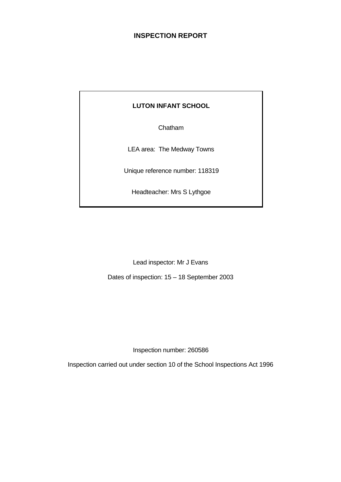# **INSPECTION REPORT**

# **LUTON INFANT SCHOOL**

Chatham

LEA area: The Medway Towns

Unique reference number: 118319

Headteacher: Mrs S Lythgoe

Lead inspector: Mr J Evans

Dates of inspection: 15 – 18 September 2003

Inspection number: 260586

Inspection carried out under section 10 of the School Inspections Act 1996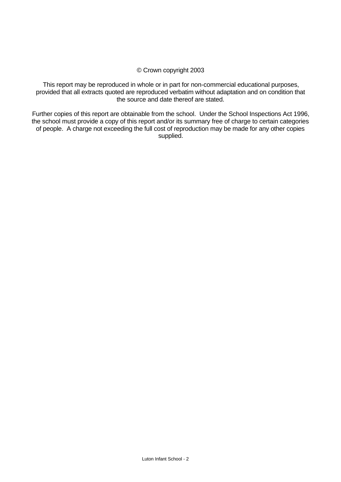#### © Crown copyright 2003

This report may be reproduced in whole or in part for non-commercial educational purposes, provided that all extracts quoted are reproduced verbatim without adaptation and on condition that the source and date thereof are stated.

Further copies of this report are obtainable from the school. Under the School Inspections Act 1996, the school must provide a copy of this report and/or its summary free of charge to certain categories of people. A charge not exceeding the full cost of reproduction may be made for any other copies supplied.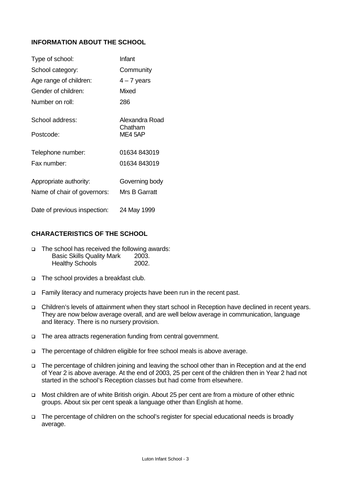# **INFORMATION ABOUT THE SCHOOL**

| Type of school:              | Infant                    |
|------------------------------|---------------------------|
| School category:             | Community                 |
| Age range of children:       | $4 - 7$ years             |
| Gender of children:          | Mixed                     |
| Number on roll:              | 286                       |
| School address:              | Alexandra Road<br>Chatham |
| Postcode:                    | ME4 5AP                   |
| Telephone number:            | 01634 843019              |
| Fax number:                  | 01634 843019              |
| Appropriate authority:       | Governing body            |
| Name of chair of governors:  | <b>Mrs B Garratt</b>      |
| Date of previous inspection: | 24 May 1999               |

# **CHARACTERISTICS OF THE SCHOOL**

- $\Box$  The school has received the following awards: Basic Skills Quality Mark 2003. Healthy Schools 2002.
- □ The school provides a breakfast club.
- □ Family literacy and numeracy projects have been run in the recent past.
- q Children's levels of attainment when they start school in Reception have declined in recent years. They are now below average overall, and are well below average in communication, language and literacy. There is no nursery provision.
- q The area attracts regeneration funding from central government.
- q The percentage of children eligible for free school meals is above average.
- q The percentage of children joining and leaving the school other than in Reception and at the end of Year 2 is above average. At the end of 2003, 25 per cent of the children then in Year 2 had not started in the school's Reception classes but had come from elsewhere.
- q Most children are of white British origin. About 25 per cent are from a mixture of other ethnic groups. About six per cent speak a language other than English at home.
- q The percentage of children on the school's register for special educational needs is broadly average.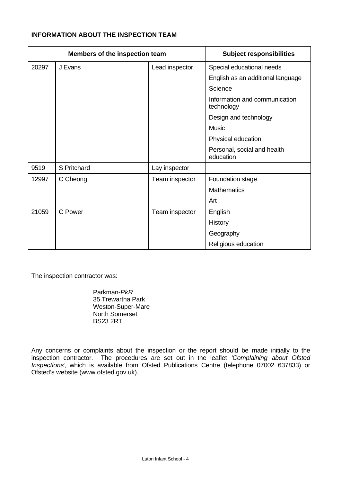# **INFORMATION ABOUT THE INSPECTION TEAM**

| Members of the inspection team |             |                | <b>Subject responsibilities</b>             |  |  |
|--------------------------------|-------------|----------------|---------------------------------------------|--|--|
| 20297                          | J Evans     | Lead inspector | Special educational needs                   |  |  |
|                                |             |                | English as an additional language           |  |  |
|                                |             |                | Science                                     |  |  |
|                                |             |                | Information and communication<br>technology |  |  |
|                                |             |                | Design and technology                       |  |  |
|                                |             |                | <b>Music</b>                                |  |  |
|                                |             |                | Physical education                          |  |  |
|                                |             |                | Personal, social and health<br>education    |  |  |
| 9519                           | S Pritchard | Lay inspector  |                                             |  |  |
| 12997                          | C Cheong    | Team inspector | Foundation stage                            |  |  |
|                                |             |                | <b>Mathematics</b>                          |  |  |
|                                |             |                | Art                                         |  |  |
| 21059                          | C Power     | Team inspector | English                                     |  |  |
|                                |             |                | History                                     |  |  |
|                                |             |                | Geography                                   |  |  |
|                                |             |                | Religious education                         |  |  |

The inspection contractor was:

Parkman-*PkR* 35 Trewartha Park Weston-Super-Mare North Somerset BS23 2RT

Any concerns or complaints about the inspection or the report should be made initially to the inspection contractor. The procedures are set out in the leaflet *'Complaining about Ofsted Inspections'*, which is available from Ofsted Publications Centre (telephone 07002 637833) or Ofsted's website (www.ofsted.gov.uk).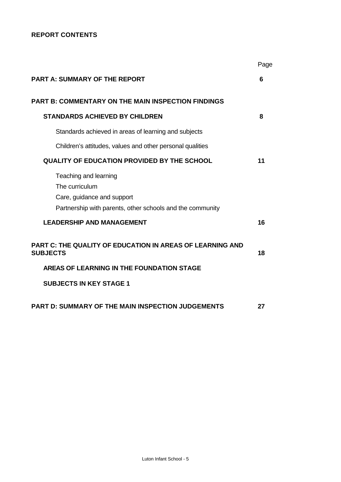# **REPORT CONTENTS**

|                                                                                                                                    | Page |
|------------------------------------------------------------------------------------------------------------------------------------|------|
| <b>PART A: SUMMARY OF THE REPORT</b>                                                                                               | 6    |
| <b>PART B: COMMENTARY ON THE MAIN INSPECTION FINDINGS</b>                                                                          |      |
| <b>STANDARDS ACHIEVED BY CHILDREN</b>                                                                                              | 8    |
| Standards achieved in areas of learning and subjects                                                                               |      |
| Children's attitudes, values and other personal qualities                                                                          |      |
| <b>QUALITY OF EDUCATION PROVIDED BY THE SCHOOL</b>                                                                                 | 11   |
| Teaching and learning<br>The curriculum<br>Care, guidance and support<br>Partnership with parents, other schools and the community |      |
| <b>LEADERSHIP AND MANAGEMENT</b>                                                                                                   | 16   |
| PART C: THE QUALITY OF EDUCATION IN AREAS OF LEARNING AND<br><b>SUBJECTS</b>                                                       | 18   |
| AREAS OF LEARNING IN THE FOUNDATION STAGE                                                                                          |      |
| <b>SUBJECTS IN KEY STAGE 1</b>                                                                                                     |      |
| PART D: SUMMARY OF THE MAIN INSPECTION JUDGEMENTS                                                                                  | 27   |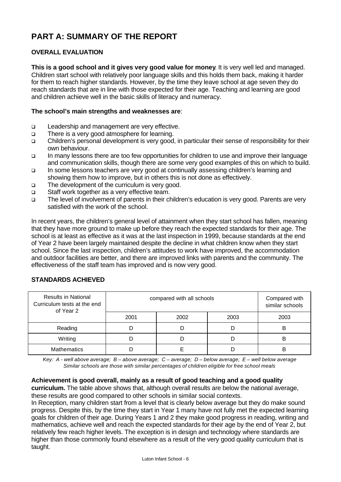# **PART A: SUMMARY OF THE REPORT**

# **OVERALL EVALUATION**

**This is a good school and it gives very good value for money**. It is very well led and managed. Children start school with relatively poor language skills and this holds them back, making it harder for them to reach higher standards. However, by the time they leave school at age seven they do reach standards that are in line with those expected for their age. Teaching and learning are good and children achieve well in the basic skills of literacy and numeracy.

# **The school's main strengths and weaknesses are**:

- q Leadership and management are very effective.
- □ There is a very good atmosphere for learning.
- q Children's personal development is very good, in particular their sense of responsibility for their own behaviour.
- q In many lessons there are too few opportunities for children to use and improve their language and communication skills, though there are some very good examples of this on which to build.
- q In some lessons teachers are very good at continually assessing children's learning and showing them how to improve, but in others this is not done as effectively.
- The development of the curriculum is very good.
- □ Staff work together as a very effective team.
- q The level of involvement of parents in their children's education is very good. Parents are very satisfied with the work of the school.

In recent years, the children's general level of attainment when they start school has fallen, meaning that they have more ground to make up before they reach the expected standards for their age. The school is at least as effective as it was at the last inspection in 1999, because standards at the end of Year 2 have been largely maintained despite the decline in what children know when they start school. Since the last inspection, children's attitudes to work have improved, the accommodation and outdoor facilities are better, and there are improved links with parents and the community. The effectiveness of the staff team has improved and is now very good.

# **STANDARDS ACHIEVED**

| <b>Results in National</b><br>Curriculum tests at the end<br>of Year 2 | compared with all schools | Compared with<br>similar schools |      |      |
|------------------------------------------------------------------------|---------------------------|----------------------------------|------|------|
|                                                                        | 2001                      | 2002                             | 2003 | 2003 |
| Reading                                                                |                           |                                  |      | B    |
| Writing                                                                |                           |                                  |      | в    |
| <b>Mathematics</b>                                                     |                           |                                  | B    |      |

*Key: A - well above average; B – above average; C – average; D – below average; E – well below average Similar schools are those with similar percentages of children eligible for free school meals*

# **Achievement is good overall, mainly as a result of good teaching and a good quality**

**curriculum.** The table above shows that, although overall results are below the national average, these results are good compared to other schools in similar social contexts.

In Reception, many children start from a level that is clearly below average but they do make sound progress. Despite this, by the time they start in Year 1 many have not fully met the expected learning goals for children of their age. During Years 1 and 2 they make good progress in reading, writing and mathematics, achieve well and reach the expected standards for their age by the end of Year 2, but relatively few reach higher levels. The exception is in design and technology where standards are higher than those commonly found elsewhere as a result of the very good quality curriculum that is taught.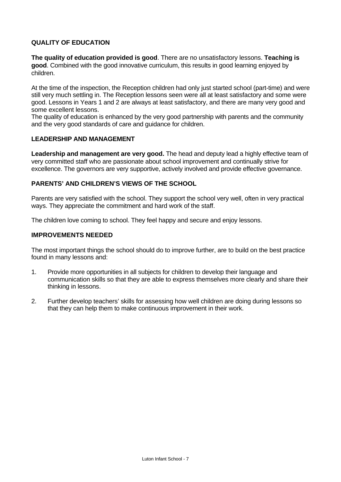# **QUALITY OF EDUCATION**

**The quality of education provided is good**. There are no unsatisfactory lessons. **Teaching is good**. Combined with the good innovative curriculum, this results in good learning enjoyed by children.

At the time of the inspection, the Reception children had only just started school (part-time) and were still very much settling in. The Reception lessons seen were all at least satisfactory and some were good. Lessons in Years 1 and 2 are always at least satisfactory, and there are many very good and some excellent lessons.

The quality of education is enhanced by the very good partnership with parents and the community and the very good standards of care and guidance for children.

#### **LEADERSHIP AND MANAGEMENT**

Leadership and management are very good. The head and deputy lead a highly effective team of very committed staff who are passionate about school improvement and continually strive for excellence. The governors are very supportive, actively involved and provide effective governance.

#### **PARENTS' AND CHILDREN'S VIEWS OF THE SCHOOL**

Parents are very satisfied with the school. They support the school very well, often in very practical ways. They appreciate the commitment and hard work of the staff.

The children love coming to school. They feel happy and secure and enjoy lessons.

#### **IMPROVEMENTS NEEDED**

The most important things the school should do to improve further, are to build on the best practice found in many lessons and:

- 1. Provide more opportunities in all subjects for children to develop their language and communication skills so that they are able to express themselves more clearly and share their thinking in lessons.
- 2. Further develop teachers' skills for assessing how well children are doing during lessons so that they can help them to make continuous improvement in their work.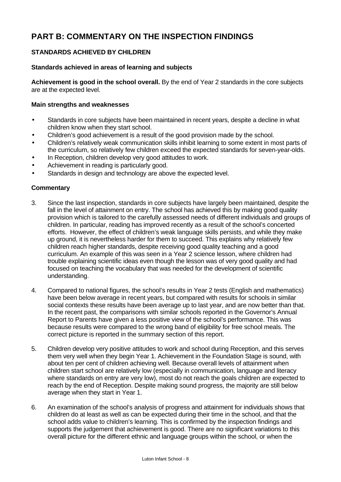# **PART B: COMMENTARY ON THE INSPECTION FINDINGS**

# **STANDARDS ACHIEVED BY CHILDREN**

# **Standards achieved in areas of learning and subjects**

**Achievement is good in the school overall.** By the end of Year 2 standards in the core subjects are at the expected level.

#### **Main strengths and weaknesses**

- Standards in core subjects have been maintained in recent years, despite a decline in what children know when they start school.
- Children's good achievement is a result of the good provision made by the school.
- Children's relatively weak communication skills inhibit learning to some extent in most parts of the curriculum, so relatively few children exceed the expected standards for seven-year-olds.
- In Reception, children develop very good attitudes to work.
- Achievement in reading is particularly good.
- Standards in design and technology are above the expected level.

# **Commentary**

- 3. Since the last inspection, standards in core subjects have largely been maintained, despite the fall in the level of attainment on entry. The school has achieved this by making good quality provision which is tailored to the carefully assessed needs of different individuals and groups of children. In particular, reading has improved recently as a result of the school's concerted efforts. However, the effect of children's weak language skills persists, and while they make up ground, it is nevertheless harder for them to succeed. This explains why relatively few children reach higher standards, despite receiving good quality teaching and a good curriculum. An example of this was seen in a Year 2 science lesson, where children had trouble explaining scientific ideas even though the lesson was of very good quality and had focused on teaching the vocabulary that was needed for the development of scientific understanding.
- 4. Compared to national figures, the school's results in Year 2 tests (English and mathematics) have been below average in recent years, but compared with results for schools in similar social contexts these results have been average up to last year, and are now better than that. In the recent past, the comparisons with similar schools reported in the Governor's Annual Report to Parents have given a less positive view of the school's performance. This was because results were compared to the wrong band of eligibility for free school meals. The correct picture is reported in the summary section of this report.
- 5. Children develop very positive attitudes to work and school during Reception, and this serves them very well when they begin Year 1. Achievement in the Foundation Stage is sound, with about ten per cent of children achieving well. Because overall levels of attainment when children start school are relatively low (especially in communication, language and literacy where standards on entry are very low), most do not reach the goals children are expected to reach by the end of Reception. Despite making sound progress, the majority are still below average when they start in Year 1.
- 6. An examination of the school's analysis of progress and attainment for individuals shows that children do at least as well as can be expected during their time in the school, and that the school adds value to children's learning. This is confirmed by the inspection findings and supports the judgement that achievement is good. There are no significant variations to this overall picture for the different ethnic and language groups within the school, or when the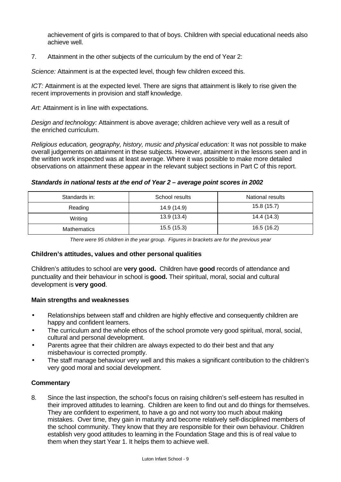achievement of girls is compared to that of boys. Children with special educational needs also achieve well.

7. Attainment in the other subjects of the curriculum by the end of Year 2:

*Science:* Attainment is at the expected level, though few children exceed this.

*ICT:* Attainment is at the expected level. There are signs that attainment is likely to rise given the recent improvements in provision and staff knowledge.

Art: Attainment is in line with expectations.

*Design and technology:* Attainment is above average; children achieve very well as a result of the enriched curriculum.

*Religious education, geography, history, music and physical education:* It was not possible to make overall judgements on attainment in these subjects. However, attainment in the lessons seen and in the written work inspected was at least average. Where it was possible to make more detailed observations on attainment these appear in the relevant subject sections in Part C of this report.

# *Standards in national tests at the end of Year 2 – average point scores in 2002*

| Standards in: | School results | National results |
|---------------|----------------|------------------|
| Reading       | 14.9 (14.9)    | 15.8(15.7)       |
| Writing       | 13.9 (13.4)    | 14.4 (14.3)      |
| Mathematics   | 15.5(15.3)     | 16.5 (16.2)      |

*There were 95 children in the year group. Figures in brackets are for the previous year*

# **Children's attitudes, values and other personal qualities**

Children's attitudes to school are **very good.** Children have **good** records of attendance and punctuality and their behaviour in school is **good.** Their spiritual, moral, social and cultural development is **very good**.

# **Main strengths and weaknesses**

- Relationships between staff and children are highly effective and consequently children are happy and confident learners.
- The curriculum and the whole ethos of the school promote very good spiritual, moral, social, cultural and personal development.
- Parents agree that their children are always expected to do their best and that any misbehaviour is corrected promptly.
- The staff manage behaviour very well and this makes a significant contribution to the children's very good moral and social development.

# **Commentary**

8. Since the last inspection, the school's focus on raising children's self-esteem has resulted in their improved attitudes to learning. Children are keen to find out and do things for themselves. They are confident to experiment, to have a go and not worry too much about making mistakes. Over time, they gain in maturity and become relatively self-disciplined members of the school community. They know that they are responsible for their own behaviour. Children establish very good attitudes to learning in the Foundation Stage and this is of real value to them when they start Year 1. It helps them to achieve well.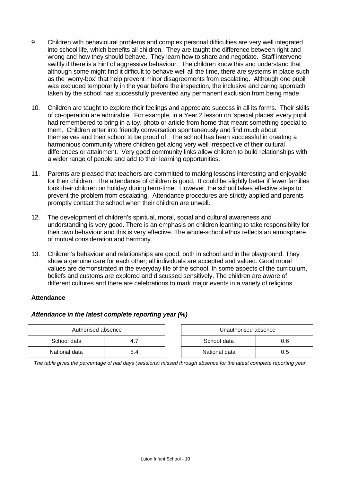- 9. Children with behavioural problems and complex personal difficulties are very well integrated into school life, which benefits all children. They are taught the difference between right and wrong and how they should behave. They learn how to share and negotiate. Staff intervene swiftly if there is a hint of aggressive behaviour. The children know this and understand that although some might find it difficult to behave well all the time, there are systems in place such as the 'worry-box' that help prevent minor disagreements from escalating. Although one pupil was excluded temporarily in the year before the inspection, the inclusive and caring approach taken by the school has successfully prevented any permanent exclusion from being made.
- 10. Children are taught to explore their feelings and appreciate success in all its forms. Their skills of co-operation are admirable. For example, in a Year 2 lesson on 'special places' every pupil had remembered to bring in a toy, photo or article from home that meant something special to them. Children enter into friendly conversation spontaneously and find much about themselves and their school to be proud of. The school has been successful in creating a harmonious community where children get along very well irrespective of their cultural differences or attainment. Very good community links allow children to build relationships with a wider range of people and add to their learning opportunities.
- 11. Parents are pleased that teachers are committed to making lessons interesting and enjoyable for their children. The attendance of children is good. It could be slightly better if fewer families took their children on holiday during term-time. However, the school takes effective steps to prevent the problem from escalating. Attendance procedures are strictly applied and parents promptly contact the school when their children are unwell.
- 12. The development of children's spiritual, moral, social and cultural awareness and understanding is very good. There is an emphasis on children learning to take responsibility for their own behaviour and this is very effective. The whole-school ethos reflects an atmosphere of mutual consideration and harmony.
- 13. Children's behaviour and relationships are good, both in school and in the playground. They show a genuine care for each other; all individuals are accepted and valued. Good moral values are demonstrated in the everyday life of the school. In some aspects of the curriculum, beliefs and customs are explored and discussed sensitively. The children are aware of different cultures and there are celebrations to mark major events in a variety of religions.

# **Attendance**

# *Attendance in the latest complete reporting year (%)*

| Authorised absence |     | Unauthorised absence |     |
|--------------------|-----|----------------------|-----|
| School data        |     | School data          | 0.6 |
| National data      | 5.4 | National data        | ს.5 |

*The table gives the percentage of half days (sessions) missed through absence for the latest complete reporting year.*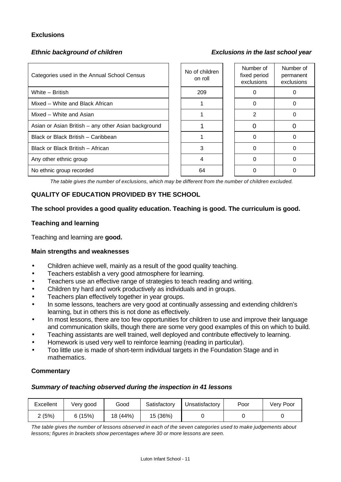# **Exclusions**

# *Ethnic background of children Exclusions in the last school year*

| Categories used in the Annual School Census         | No of children<br>on roll | Number of<br>fixed period<br>exclusions | Number of<br>permanent<br>exclusions |
|-----------------------------------------------------|---------------------------|-----------------------------------------|--------------------------------------|
| White - British                                     | 209                       |                                         |                                      |
| Mixed - White and Black African                     |                           |                                         |                                      |
| Mixed - White and Asian                             |                           | 2                                       |                                      |
| Asian or Asian British - any other Asian background |                           |                                         |                                      |
| Black or Black British - Caribbean                  |                           |                                         |                                      |
| Black or Black British - African                    | 3                         |                                         |                                      |
| Any other ethnic group                              | 4                         |                                         |                                      |
| No ethnic group recorded                            | 64                        |                                         |                                      |

*The table gives the number of exclusions, which may be different from the number of children excluded.*

# **QUALITY OF EDUCATION PROVIDED BY THE SCHOOL**

#### **The school provides a good quality education. Teaching is good. The curriculum is good.**

#### **Teaching and learning**

Teaching and learning are **good.**

#### **Main strengths and weaknesses**

- Children achieve well, mainly as a result of the good quality teaching.
- Teachers establish a very good atmosphere for learning.
- Teachers use an effective range of strategies to teach reading and writing.
- Children try hard and work productively as individuals and in groups.
- Teachers plan effectively together in year groups.
- In some lessons, teachers are very good at continually assessing and extending children's learning, but in others this is not done as effectively.
- In most lessons, there are too few opportunities for children to use and improve their language and communication skills, though there are some very good examples of this on which to build.
- Teaching assistants are well trained, well deployed and contribute effectively to learning.
- Homework is used very well to reinforce learning (reading in particular).
- Too little use is made of short-term individual targets in the Foundation Stage and in mathematics.

#### **Commentary**

# *Summary of teaching observed during the inspection in 41 lessons*

| Excellent | Very good | Good     | Satisfactory | Unsatisfactory | Poor | Very Poor |
|-----------|-----------|----------|--------------|----------------|------|-----------|
| : (5%)    | 6(15%)    | 18 (44%) | 15 (36%)     |                |      |           |

*The table gives the number of lessons observed in each of the seven categories used to make judgements about lessons; figures in brackets show percentages where 30 or more lessons are seen.*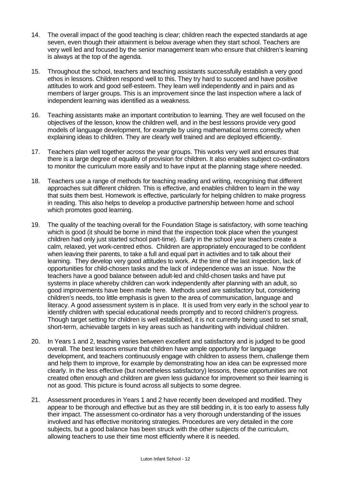- 14. The overall impact of the good teaching is clear; children reach the expected standards at age seven, even though their attainment is below average when they start school. Teachers are very well led and focused by the senior management team who ensure that children's learning is always at the top of the agenda.
- 15. Throughout the school, teachers and teaching assistants successfully establish a very good ethos in lessons. Children respond well to this. They try hard to succeed and have positive attitudes to work and good self-esteem. They learn well independently and in pairs and as members of larger groups. This is an improvement since the last inspection where a lack of independent learning was identified as a weakness.
- 16. Teaching assistants make an important contribution to learning. They are well focused on the objectives of the lesson, know the children well, and in the best lessons provide very good models of language development, for example by using mathematical terms correctly when explaining ideas to children. They are clearly well trained and are deployed efficiently.
- 17. Teachers plan well together across the year groups. This works very well and ensures that there is a large degree of equality of provision for children. It also enables subject co-ordinators to monitor the curriculum more easily and to have input at the planning stage where needed.
- 18. Teachers use a range of methods for teaching reading and writing, recognising that different approaches suit different children. This is effective, and enables children to learn in the way that suits them best. Homework is effective, particularly for helping children to make progress in reading. This also helps to develop a productive partnership between home and school which promotes good learning.
- 19. The quality of the teaching overall for the Foundation Stage is satisfactory, with some teaching which is good (it should be borne in mind that the inspection took place when the youngest children had only just started school part-time). Early in the school year teachers create a calm, relaxed, yet work-centred ethos. Children are appropriately encouraged to be confident when leaving their parents, to take a full and equal part in activities and to talk about their learning. They develop very good attitudes to work. At the time of the last inspection, lack of opportunities for child-chosen tasks and the lack of independence was an issue. Now the teachers have a good balance between adult-led and child-chosen tasks and have put systems in place whereby children can work independently after planning with an adult, so good improvements have been made here. Methods used are satisfactory but, considering children's needs, too little emphasis is given to the area of communication, language and literacy. A good assessment system is in place. It is used from very early in the school year to identify children with special educational needs promptly and to record children's progress. Though target setting for children is well established, it is not currently being used to set small, short-term, achievable targets in key areas such as handwriting with individual children.
- 20. In Years 1 and 2, teaching varies between excellent and satisfactory and is judged to be good overall. The best lessons ensure that children have ample opportunity for language development, and teachers continuously engage with children to assess them, challenge them and help them to improve, for example by demonstrating how an idea can be expressed more clearly. In the less effective (but nonetheless satisfactory) lessons, these opportunities are not created often enough and children are given less guidance for improvement so their learning is not as good. This picture is found across all subjects to some degree.
- 21. Assessment procedures in Years 1 and 2 have recently been developed and modified. They appear to be thorough and effective but as they are still bedding in, it is too early to assess fully their impact. The assessment co-ordinator has a very thorough understanding of the issues involved and has effective monitoring strategies. Procedures are very detailed in the core subjects, but a good balance has been struck with the other subjects of the curriculum, allowing teachers to use their time most efficiently where it is needed.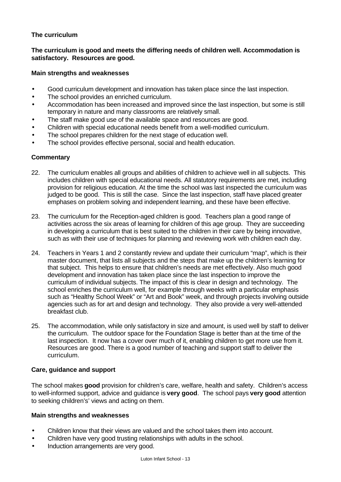# **The curriculum**

# **The curriculum is good and meets the differing needs of children well. Accommodation is satisfactory. Resources are good.**

#### **Main strengths and weaknesses**

- Good curriculum development and innovation has taken place since the last inspection.
- The school provides an enriched curriculum.
- Accommodation has been increased and improved since the last inspection, but some is still temporary in nature and many classrooms are relatively small.
- The staff make good use of the available space and resources are good.
- Children with special educational needs benefit from a well-modified curriculum.
- The school prepares children for the next stage of education well.
- The school provides effective personal, social and health education.

# **Commentary**

- 22. The curriculum enables all groups and abilities of children to achieve well in all subjects. This includes children with special educational needs. All statutory requirements are met, including provision for religious education. At the time the school was last inspected the curriculum was judged to be good. This is still the case. Since the last inspection, staff have placed greater emphases on problem solving and independent learning, and these have been effective.
- 23. The curriculum for the Reception-aged children is good. Teachers plan a good range of activities across the six areas of learning for children of this age group. They are succeeding in developing a curriculum that is best suited to the children in their care by being innovative, such as with their use of techniques for planning and reviewing work with children each day.
- 24. Teachers in Years 1 and 2 constantly review and update their curriculum "map", which is their master document, that lists all subjects and the steps that make up the children's learning for that subject. This helps to ensure that children's needs are met effectively. Also much good development and innovation has taken place since the last inspection to improve the curriculum of individual subjects. The impact of this is clear in design and technology. The school enriches the curriculum well, for example through weeks with a particular emphasis such as "Healthy School Week" or "Art and Book" week, and through projects involving outside agencies such as for art and design and technology. They also provide a very well-attended breakfast club.
- 25. The accommodation, while only satisfactory in size and amount, is used well by staff to deliver the curriculum. The outdoor space for the Foundation Stage is better than at the time of the last inspection. It now has a cover over much of it, enabling children to get more use from it. Resources are good. There is a good number of teaching and support staff to deliver the curriculum.

# **Care, guidance and support**

The school makes **good** provision for children's care, welfare, health and safety. Children's access to well-informed support, advice and guidance is **very good**. The school pays **very good** attention to seeking children's' views and acting on them.

# **Main strengths and weaknesses**

- Children know that their views are valued and the school takes them into account.
- Children have very good trusting relationships with adults in the school.
- Induction arrangements are very good.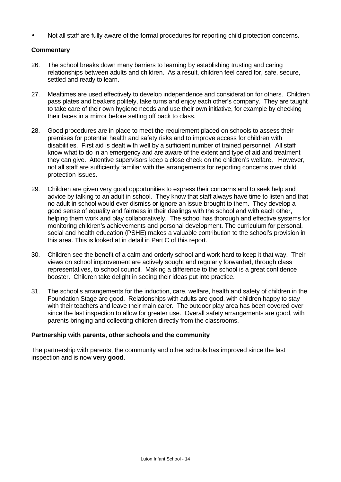• Not all staff are fully aware of the formal procedures for reporting child protection concerns.

# **Commentary**

- 26. The school breaks down many barriers to learning by establishing trusting and caring relationships between adults and children. As a result, children feel cared for, safe, secure, settled and ready to learn.
- 27. Mealtimes are used effectively to develop independence and consideration for others. Children pass plates and beakers politely, take turns and enjoy each other's company. They are taught to take care of their own hygiene needs and use their own initiative, for example by checking their faces in a mirror before setting off back to class.
- 28. Good procedures are in place to meet the requirement placed on schools to assess their premises for potential health and safety risks and to improve access for children with disabilities. First aid is dealt with well by a sufficient number of trained personnel. All staff know what to do in an emergency and are aware of the extent and type of aid and treatment they can give. Attentive supervisors keep a close check on the children's welfare. However, not all staff are sufficiently familiar with the arrangements for reporting concerns over child protection issues.
- 29. Children are given very good opportunities to express their concerns and to seek help and advice by talking to an adult in school. They know that staff always have time to listen and that no adult in school would ever dismiss or ignore an issue brought to them. They develop a good sense of equality and fairness in their dealings with the school and with each other, helping them work and play collaboratively. The school has thorough and effective systems for monitoring children's achievements and personal development. The curriculum for personal, social and health education (PSHE) makes a valuable contribution to the school's provision in this area. This is looked at in detail in Part C of this report.
- 30. Children see the benefit of a calm and orderly school and work hard to keep it that way. Their views on school improvement are actively sought and regularly forwarded, through class representatives, to school council. Making a difference to the school is a great confidence booster. Children take delight in seeing their ideas put into practice.
- 31. The school's arrangements for the induction, care, welfare, health and safety of children in the Foundation Stage are good. Relationships with adults are good, with children happy to stay with their teachers and leave their main carer. The outdoor play area has been covered over since the last inspection to allow for greater use. Overall safety arrangements are good, with parents bringing and collecting children directly from the classrooms.

# **Partnership with parents, other schools and the community**

The partnership with parents, the community and other schools has improved since the last inspection and is now **very good**.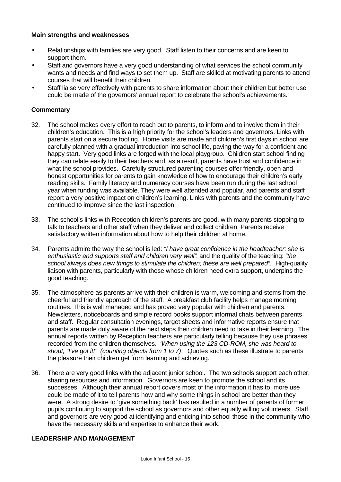#### **Main strengths and weaknesses**

- Relationships with families are very good. Staff listen to their concerns and are keen to support them.
- Staff and governors have a very good understanding of what services the school community wants and needs and find ways to set them up. Staff are skilled at motivating parents to attend courses that will benefit their children.
- Staff liaise very effectively with parents to share information about their children but better use could be made of the governors' annual report to celebrate the school's achievements.

# **Commentary**

- 32. The school makes every effort to reach out to parents, to inform and to involve them in their children's education. This is a high priority for the school's leaders and governors. Links with parents start on a secure footing. Home visits are made and children's first days in school are carefully planned with a gradual introduction into school life, paving the way for a confident and happy start. Very good links are forged with the local playgroup. Children start school finding they can relate easily to their teachers and, as a result, parents have trust and confidence in what the school provides. Carefully structured parenting courses offer friendly, open and honest opportunities for parents to gain knowledge of how to encourage their children's early reading skills. Family literacy and numeracy courses have been run during the last school year when funding was available. They were well attended and popular, and parents and staff report a very positive impact on children's learning. Links with parents and the community have continued to improve since the last inspection.
- 33. The school's links with Reception children's parents are good, with many parents stopping to talk to teachers and other staff when they deliver and collect children. Parents receive satisfactory written information about how to help their children at home.
- 34. Parents admire the way the school is led: *"I have great confidence in the headteacher; she is enthusiastic and supports staff and children very well"*, and the quality of the teaching: *"the school always does new things to stimulate the children; these are well prepared".* High-quality liaison with parents, particularly with those whose children need extra support, underpins the good teaching.
- 35. The atmosphere as parents arrive with their children is warm, welcoming and stems from the cheerful and friendly approach of the staff. A breakfast club facility helps manage morning routines. This is well managed and has proved very popular with children and parents. Newsletters, noticeboards and simple record books support informal chats between parents and staff. Regular consultation evenings, target sheets and informative reports ensure that parents are made duly aware of the next steps their children need to take in their learning. The annual reports written by Reception teachers are particularly telling because they use phrases recorded from the children themselves. *'When using the 123 CD-ROM, she was heard to shout, "I've got it!" (counting objects from 1 to 7)'.* Quotes such as these illustrate to parents the pleasure their children get from learning and achieving.
- 36. There are very good links with the adjacent junior school. The two schools support each other, sharing resources and information. Governors are keen to promote the school and its successes. Although their annual report covers most of the information it has to, more use could be made of it to tell parents how and why some things in school are better than they were. A strong desire to 'give something back' has resulted in a number of parents of former pupils continuing to support the school as governors and other equally willing volunteers. Staff and governors are very good at identifying and enticing into school those in the community who have the necessary skills and expertise to enhance their work.

#### **LEADERSHIP AND MANAGEMENT**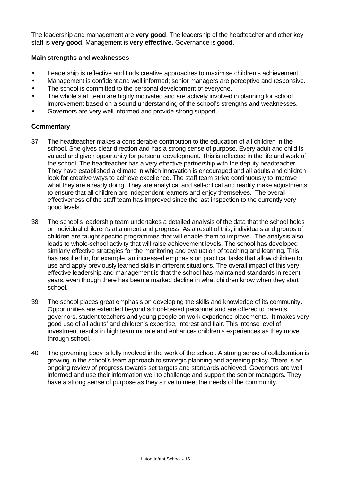The leadership and management are **very good**. The leadership of the headteacher and other key staff is **very good**. Management is **very effective**. Governance is **good**.

# **Main strengths and weaknesses**

- Leadership is reflective and finds creative approaches to maximise children's achievement.
- Management is confident and well informed; senior managers are perceptive and responsive.
- The school is committed to the personal development of everyone.
- The whole staff team are highly motivated and are actively involved in planning for school improvement based on a sound understanding of the school's strengths and weaknesses.
- Governors are very well informed and provide strong support.

# **Commentary**

- 37. The headteacher makes a considerable contribution to the education of all children in the school. She gives clear direction and has a strong sense of purpose. Every adult and child is valued and given opportunity for personal development. This is reflected in the life and work of the school. The headteacher has a very effective partnership with the deputy headteacher. They have established a climate in which innovation is encouraged and all adults and children look for creative ways to achieve excellence. The staff team strive continuously to improve what they are already doing. They are analytical and self-critical and readily make adjustments to ensure that all children are independent learners and enjoy themselves. The overall effectiveness of the staff team has improved since the last inspection to the currently very good levels.
- 38. The school's leadership team undertakes a detailed analysis of the data that the school holds on individual children's attainment and progress. As a result of this, individuals and groups of children are taught specific programmes that will enable them to improve. The analysis also leads to whole-school activity that will raise achievement levels. The school has developed similarly effective strategies for the monitoring and evaluation of teaching and learning. This has resulted in, for example, an increased emphasis on practical tasks that allow children to use and apply previously learned skills in different situations. The overall impact of this very effective leadership and management is that the school has maintained standards in recent years, even though there has been a marked decline in what children know when they start school.
- 39. The school places great emphasis on developing the skills and knowledge of its community. Opportunities are extended beyond school-based personnel and are offered to parents, governors, student teachers and young people on work experience placements. It makes very good use of all adults' and children's expertise, interest and flair. This intense level of investment results in high team morale and enhances children's experiences as they move through school.
- 40. The governing body is fully involved in the work of the school. A strong sense of collaboration is growing in the school's team approach to strategic planning and agreeing policy. There is an ongoing review of progress towards set targets and standards achieved. Governors are well informed and use their information well to challenge and support the senior managers. They have a strong sense of purpose as they strive to meet the needs of the community.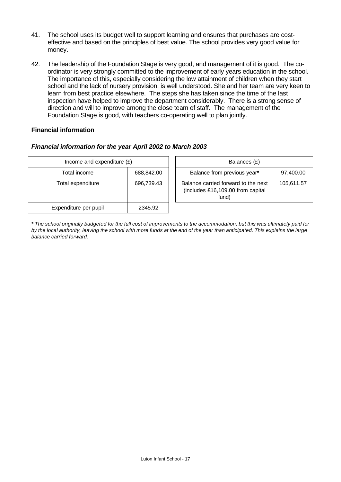- 41. The school uses its budget well to support learning and ensures that purchases are costeffective and based on the principles of best value. The school provides very good value for money.
- 42. The leadership of the Foundation Stage is very good, and management of it is good. The coordinator is very strongly committed to the improvement of early years education in the school. The importance of this, especially considering the low attainment of children when they start school and the lack of nursery provision, is well understood. She and her team are very keen to learn from best practice elsewhere. The steps she has taken since the time of the last inspection have helped to improve the department considerably. There is a strong sense of direction and will to improve among the close team of staff. The management of the Foundation Stage is good, with teachers co-operating well to plan jointly.

# **Financial information**

# *Financial information for the year April 2002 to March 2003*

| Income and expenditure $(E)$ |            |  | Balances (£)                                                                      |            |
|------------------------------|------------|--|-----------------------------------------------------------------------------------|------------|
| Total income                 | 688,842.00 |  | Balance from previous year*                                                       | 97,400.00  |
| Total expenditure            | 696,739.43 |  | Balance carried forward to the next<br>(includes £16,109.00 from capital<br>fund) | 105,611.57 |
| Expenditure per pupil        | 2345.92    |  |                                                                                   |            |

*\* The school originally budgeted for the full cost of improvements to the accommodation, but this was ultimately paid for by the local authority, leaving the school with more funds at the end of the year than anticipated. This explains the large balance carried forward.*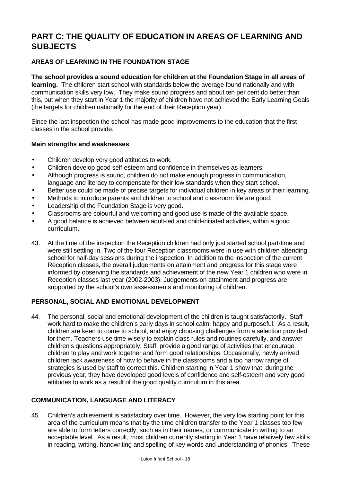# **PART C: THE QUALITY OF EDUCATION IN AREAS OF LEARNING AND SUBJECTS**

# **AREAS OF LEARNING IN THE FOUNDATION STAGE**

**The school provides a sound education for children at the Foundation Stage in all areas of learning.** The children start school with standards below the average found nationally and with communication skills very low. They make sound progress and about ten per cent do better than this, but when they start in Year 1 the majority of children have not achieved the Early Learning Goals (the targets for children nationally for the end of their Reception year).

Since the last inspection the school has made good improvements to the education that the first classes in the school provide.

# **Main strengths and weaknesses**

- Children develop very good attitudes to work.
- Children develop good self-esteem and confidence in themselves as learners.
- Although progress is sound, children do not make enough progress in communication, language and literacy to compensate for their low standards when they start school.
- Better use could be made of precise targets for individual children in key areas of their learning.
- Methods to introduce parents and children to school and classroom life are good.
- Leadership of the Foundation Stage is very good.
- Classrooms are colourful and welcoming and good use is made of the available space.
- A good balance is achieved between adult-led and child-initiated activities, within a good curriculum.
- 43. At the time of the inspection the Reception children had only just started school part-time and were still settling in. Two of the four Reception classrooms were in use with children attending school for half-day sessions during the inspection. In addition to the inspection of the current Reception classes, the overall judgements on attainment and progress for this stage were informed by observing the standards and achievement of the new Year 1 children who were in Reception classes last year (2002-2003). Judgements on attainment and progress are supported by the school's own assessments and monitoring of children.

# **PERSONAL, SOCIAL AND EMOTIONAL DEVELOPMENT**

44. The personal, social and emotional development of the children is taught satisfactorily. Staff work hard to make the children's early days in school calm, happy and purposeful. As a result, children are keen to come to school, and enjoy choosing challenges from a selection provided for them. Teachers use time wisely to explain class rules and routines carefully, and answer children's questions appropriately. Staff provide a good range of activities that encourage children to play and work together and form good relationships. Occasionally, newly arrived children lack awareness of how to behave in the classrooms and a too narrow range of strategies is used by staff to correct this. Children starting in Year 1 show that, during the previous year, they have developed good levels of confidence and self-esteem and very good attitudes to work as a result of the good quality curriculum in this area.

# **COMMUNICATION, LANGUAGE AND LITERACY**

45. Children's achievement is satisfactory over time. However, the very low starting point for this area of the curriculum means that by the time children transfer to the Year 1 classes too few are able to form letters correctly, such as in their names, or communicate in writing to an acceptable level. As a result, most children currently starting in Year 1 have relatively few skills in reading, writing, handwriting and spelling of key words and understanding of phonics. These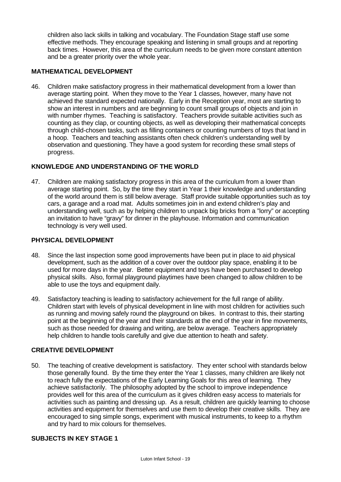children also lack skills in talking and vocabulary. The Foundation Stage staff use some effective methods. They encourage speaking and listening in small groups and at reporting back times. However, this area of the curriculum needs to be given more constant attention and be a greater priority over the whole year.

# **MATHEMATICAL DEVELOPMENT**

46. Children make satisfactory progress in their mathematical development from a lower than average starting point. When they move to the Year 1 classes, however, many have not achieved the standard expected nationally. Early in the Reception year, most are starting to show an interest in numbers and are beginning to count small groups of objects and join in with number rhymes. Teaching is satisfactory. Teachers provide suitable activities such as counting as they clap, or counting objects, as well as developing their mathematical concepts through child-chosen tasks, such as filling containers or counting numbers of toys that land in a hoop. Teachers and teaching assistants often check children's understanding well by observation and questioning. They have a good system for recording these small steps of progress.

# **KNOWLEDGE AND UNDERSTANDING OF THE WORLD**

47. Children are making satisfactory progress in this area of the curriculum from a lower than average starting point. So, by the time they start in Year 1 their knowledge and understanding of the world around them is still below average. Staff provide suitable opportunities such as toy cars, a garage and a road mat. Adults sometimes join in and extend children's play and understanding well, such as by helping children to unpack big bricks from a "lorry" or accepting an invitation to have "gravy" for dinner in the playhouse. Information and communication technology is very well used.

#### **PHYSICAL DEVELOPMENT**

- 48. Since the last inspection some good improvements have been put in place to aid physical development, such as the addition of a cover over the outdoor play space, enabling it to be used for more days in the year. Better equipment and toys have been purchased to develop physical skills. Also, formal playground playtimes have been changed to allow children to be able to use the toys and equipment daily.
- 49. Satisfactory teaching is leading to satisfactory achievement for the full range of ability. Children start with levels of physical development in line with most children for activities such as running and moving safely round the playground on bikes. In contrast to this, their starting point at the beginning of the year and their standards at the end of the year in fine movements, such as those needed for drawing and writing, are below average. Teachers appropriately help children to handle tools carefully and give due attention to heath and safety.

# **CREATIVE DEVELOPMENT**

50. The teaching of creative development is satisfactory. They enter school with standards below those generally found. By the time they enter the Year 1 classes, many children are likely not to reach fully the expectations of the Early Learning Goals for this area of learning. They achieve satisfactorily. The philosophy adopted by the school to improve independence provides well for this area of the curriculum as it gives children easy access to materials for activities such as painting and dressing up. As a result, children are quickly learning to choose activities and equipment for themselves and use them to develop their creative skills. They are encouraged to sing simple songs, experiment with musical instruments, to keep to a rhythm and try hard to mix colours for themselves.

#### **SUBJECTS IN KEY STAGE 1**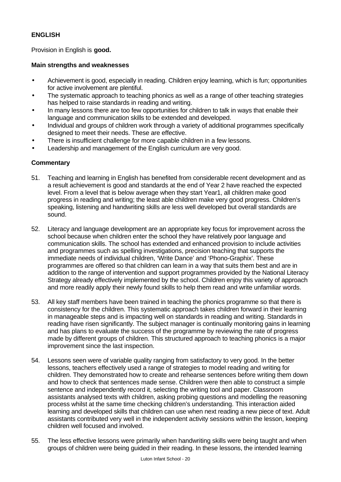# **ENGLISH**

Provision in English is **good.**

# **Main strengths and weaknesses**

- Achievement is good, especially in reading. Children enjoy learning, which is fun; opportunities for active involvement are plentiful.
- The systematic approach to teaching phonics as well as a range of other teaching strategies has helped to raise standards in reading and writing.
- In many lessons there are too few opportunities for children to talk in ways that enable their language and communication skills to be extended and developed.
- Individual and groups of children work through a variety of additional programmes specifically designed to meet their needs. These are effective.
- There is insufficient challenge for more capable children in a few lessons.
- Leadership and management of the English curriculum are very good.

# **Commentary**

- 51. Teaching and learning in English has benefited from considerable recent development and as a result achievement is good and standards at the end of Year 2 have reached the expected level. From a level that is below average when they start Year1, all children make good progress in reading and writing; the least able children make very good progress. Children's speaking, listening and handwriting skills are less well developed but overall standards are sound.
- 52. Literacy and language development are an appropriate key focus for improvement across the school because when children enter the school they have relatively poor language and communication skills. The school has extended and enhanced provision to include activities and programmes such as spelling investigations, precision teaching that supports the immediate needs of individual children, 'Write Dance' and 'Phono-Graphix'. These programmes are offered so that children can learn in a way that suits them best and are in addition to the range of intervention and support programmes provided by the National Literacy Strategy already effectively implemented by the school. Children enjoy this variety of approach and more readily apply their newly found skills to help them read and write unfamiliar words.
- 53. All key staff members have been trained in teaching the phonics programme so that there is consistency for the children. This systematic approach takes children forward in their learning in manageable steps and is impacting well on standards in reading and writing. Standards in reading have risen significantly. The subject manager is continually monitoring gains in learning and has plans to evaluate the success of the programme by reviewing the rate of progress made by different groups of children. This structured approach to teaching phonics is a major improvement since the last inspection.
- 54. Lessons seen were of variable quality ranging from satisfactory to very good. In the better lessons, teachers effectively used a range of strategies to model reading and writing for children. They demonstrated how to create and rehearse sentences before writing them down and how to check that sentences made sense. Children were then able to construct a simple sentence and independently record it, selecting the writing tool and paper. Classroom assistants analysed texts with children, asking probing questions and modelling the reasoning process whilst at the same time checking children's understanding. This interaction aided learning and developed skills that children can use when next reading a new piece of text. Adult assistants contributed very well in the independent activity sessions within the lesson, keeping children well focused and involved.
- 55. The less effective lessons were primarily when handwriting skills were being taught and when groups of children were being guided in their reading. In these lessons, the intended learning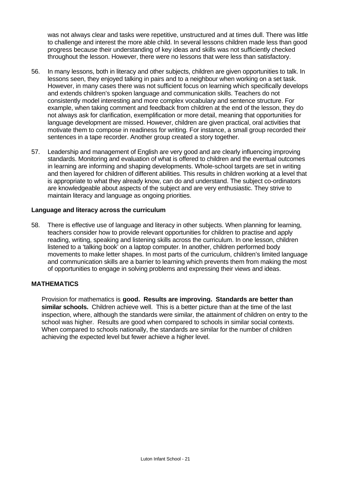was not always clear and tasks were repetitive, unstructured and at times dull. There was little to challenge and interest the more able child. In several lessons children made less than good progress because their understanding of key ideas and skills was not sufficiently checked throughout the lesson. However, there were no lessons that were less than satisfactory.

- 56. In many lessons, both in literacy and other subjects, children are given opportunities to talk. In lessons seen, they enjoyed talking in pairs and to a neighbour when working on a set task. However, in many cases there was not sufficient focus on learning which specifically develops and extends children's spoken language and communication skills. Teachers do not consistently model interesting and more complex vocabulary and sentence structure. For example, when taking comment and feedback from children at the end of the lesson, they do not always ask for clarification, exemplification or more detail, meaning that opportunities for language development are missed. However, children are given practical, oral activities that motivate them to compose in readiness for writing. For instance, a small group recorded their sentences in a tape recorder. Another group created a story together.
- 57. Leadership and management of English are very good and are clearly influencing improving standards. Monitoring and evaluation of what is offered to children and the eventual outcomes in learning are informing and shaping developments. Whole-school targets are set in writing and then layered for children of different abilities. This results in children working at a level that is appropriate to what they already know, can do and understand. The subject co-ordinators are knowledgeable about aspects of the subject and are very enthusiastic. They strive to maintain literacy and language as ongoing priorities.

#### **Language and literacy across the curriculum**

58. There is effective use of language and literacy in other subjects. When planning for learning, teachers consider how to provide relevant opportunities for children to practise and apply reading, writing, speaking and listening skills across the curriculum. In one lesson, children listened to a 'talking book' on a laptop computer. In another, children performed body movements to make letter shapes. In most parts of the curriculum, children's limited language and communication skills are a barrier to learning which prevents them from making the most of opportunities to engage in solving problems and expressing their views and ideas.

# **MATHEMATICS**

 Provision for mathematics is **good. Results are improving. Standards are better than similar schools.** Children achieve well. This is a better picture than at the time of the last inspection, where, although the standards were similar, the attainment of children on entry to the school was higher. Results are good when compared to schools in similar social contexts. When compared to schools nationally, the standards are similar for the number of children achieving the expected level but fewer achieve a higher level.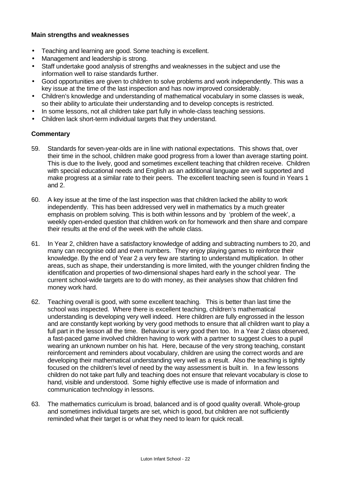# **Main strengths and weaknesses**

- Teaching and learning are good. Some teaching is excellent.
- Management and leadership is strong.
- Staff undertake good analysis of strengths and weaknesses in the subject and use the information well to raise standards further.
- Good opportunities are given to children to solve problems and work independently. This was a key issue at the time of the last inspection and has now improved considerably.
- Children's knowledge and understanding of mathematical vocabulary in some classes is weak, so their ability to articulate their understanding and to develop concepts is restricted.
- In some lessons, not all children take part fully in whole-class teaching sessions.
- Children lack short-term individual targets that they understand.

# **Commentary**

- 59. Standards for seven-year-olds are in line with national expectations. This shows that, over their time in the school, children make good progress from a lower than average starting point. This is due to the lively, good and sometimes excellent teaching that children receive. Children with special educational needs and English as an additional language are well supported and make progress at a similar rate to their peers. The excellent teaching seen is found in Years 1 and 2.
- 60. A key issue at the time of the last inspection was that children lacked the ability to work independently. This has been addressed very well in mathematics by a much greater emphasis on problem solving. This is both within lessons and by 'problem of the week', a weekly open-ended question that children work on for homework and then share and compare their results at the end of the week with the whole class.
- 61. In Year 2, children have a satisfactory knowledge of adding and subtracting numbers to 20, and many can recognise odd and even numbers. They enjoy playing games to reinforce their knowledge. By the end of Year 2 a very few are starting to understand multiplication. In other areas, such as shape, their understanding is more limited, with the younger children finding the identification and properties of two-dimensional shapes hard early in the school year. The current school-wide targets are to do with money, as their analyses show that children find money work hard.
- 62. Teaching overall is good, with some excellent teaching. This is better than last time the school was inspected. Where there is excellent teaching, children's mathematical understanding is developing very well indeed. Here children are fully engrossed in the lesson and are constantly kept working by very good methods to ensure that all children want to play a full part in the lesson all the time. Behaviour is very good then too. In a Year 2 class observed, a fast-paced game involved children having to work with a partner to suggest clues to a pupil wearing an unknown number on his hat. Here, because of the very strong teaching, constant reinforcement and reminders about vocabulary, children are using the correct words and are developing their mathematical understanding very well as a result. Also the teaching is tightly focused on the children's level of need by the way assessment is built in. In a few lessons children do not take part fully and teaching does not ensure that relevant vocabulary is close to hand, visible and understood. Some highly effective use is made of information and communication technology in lessons.
- 63. The mathematics curriculum is broad, balanced and is of good quality overall. Whole-group and sometimes individual targets are set, which is good, but children are not sufficiently reminded what their target is or what they need to learn for quick recall.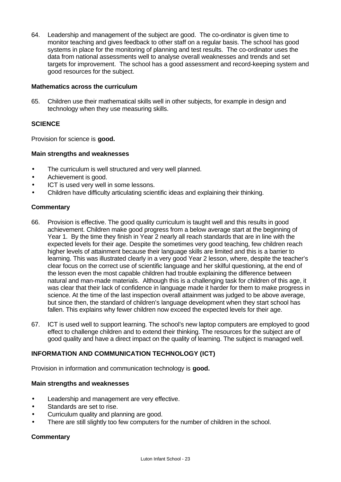64. Leadership and management of the subject are good. The co-ordinator is given time to monitor teaching and gives feedback to other staff on a regular basis. The school has good systems in place for the monitoring of planning and test results. The co-ordinator uses the data from national assessments well to analyse overall weaknesses and trends and set targets for improvement. The school has a good assessment and record-keeping system and good resources for the subject.

#### **Mathematics across the curriculum**

65. Children use their mathematical skills well in other subjects, for example in design and technology when they use measuring skills.

# **SCIENCE**

Provision for science is **good.**

#### **Main strengths and weaknesses**

- The curriculum is well structured and very well planned.
- Achievement is good.
- ICT is used very well in some lessons.
- Children have difficulty articulating scientific ideas and explaining their thinking.

# **Commentary**

- 66. Provision is effective. The good quality curriculum is taught well and this results in good achievement. Children make good progress from a below average start at the beginning of Year 1. By the time they finish in Year 2 nearly all reach standards that are in line with the expected levels for their age. Despite the sometimes very good teaching, few children reach higher levels of attainment because their language skills are limited and this is a barrier to learning. This was illustrated clearly in a very good Year 2 lesson, where, despite the teacher's clear focus on the correct use of scientific language and her skilful questioning, at the end of the lesson even the most capable children had trouble explaining the difference between natural and man-made materials. Although this is a challenging task for children of this age, it was clear that their lack of confidence in language made it harder for them to make progress in science. At the time of the last inspection overall attainment was judged to be above average, but since then, the standard of children's language development when they start school has fallen. This explains why fewer children now exceed the expected levels for their age.
- 67. ICT is used well to support learning. The school's new laptop computers are employed to good effect to challenge children and to extend their thinking. The resources for the subject are of good quality and have a direct impact on the quality of learning. The subject is managed well.

# **INFORMATION AND COMMUNICATION TECHNOLOGY (ICT)**

Provision in information and communication technology is **good.**

# **Main strengths and weaknesses**

- Leadership and management are very effective.
- Standards are set to rise.
- Curriculum quality and planning are good.
- There are still slightly too few computers for the number of children in the school.

# **Commentary**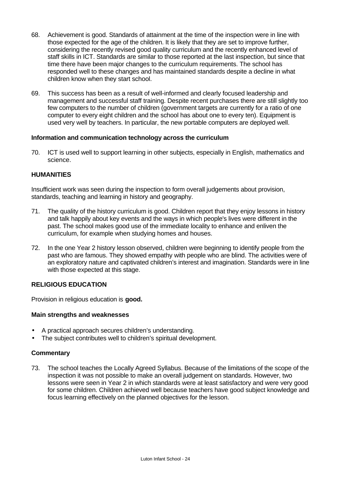- 68. Achievement is good. Standards of attainment at the time of the inspection were in line with those expected for the age of the children. It is likely that they are set to improve further, considering the recently revised good quality curriculum and the recently enhanced level of staff skills in ICT. Standards are similar to those reported at the last inspection, but since that time there have been major changes to the curriculum requirements. The school has responded well to these changes and has maintained standards despite a decline in what children know when they start school.
- 69. This success has been as a result of well-informed and clearly focused leadership and management and successful staff training. Despite recent purchases there are still slightly too few computers to the number of children (government targets are currently for a ratio of one computer to every eight children and the school has about one to every ten). Equipment is used very well by teachers. In particular, the new portable computers are deployed well.

# **Information and communication technology across the curriculum**

70. ICT is used well to support learning in other subjects, especially in English, mathematics and science.

# **HUMANITIES**

Insufficient work was seen during the inspection to form overall judgements about provision, standards, teaching and learning in history and geography.

- 71. The quality of the history curriculum is good. Children report that they enjoy lessons in history and talk happily about key events and the ways in which people's lives were different in the past. The school makes good use of the immediate locality to enhance and enliven the curriculum, for example when studying homes and houses.
- 72. In the one Year 2 history lesson observed, children were beginning to identify people from the past who are famous. They showed empathy with people who are blind. The activities were of an exploratory nature and captivated children's interest and imagination. Standards were in line with those expected at this stage.

# **RELIGIOUS EDUCATION**

Provision in religious education is **good.**

# **Main strengths and weaknesses**

- A practical approach secures children's understanding.
- The subject contributes well to children's spiritual development.

# **Commentary**

73. The school teaches the Locally Agreed Syllabus. Because of the limitations of the scope of the inspection it was not possible to make an overall judgement on standards. However, two lessons were seen in Year 2 in which standards were at least satisfactory and were very good for some children. Children achieved well because teachers have good subject knowledge and focus learning effectively on the planned objectives for the lesson.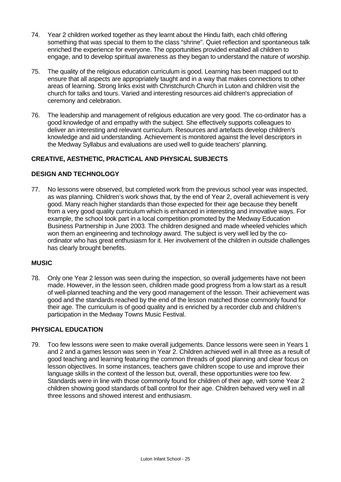- 74. Year 2 children worked together as they learnt about the Hindu faith, each child offering something that was special to them to the class "shrine". Quiet reflection and spontaneous talk enriched the experience for everyone. The opportunities provided enabled all children to engage, and to develop spiritual awareness as they began to understand the nature of worship.
- 75. The quality of the religious education curriculum is good. Learning has been mapped out to ensure that all aspects are appropriately taught and in a way that makes connections to other areas of learning. Strong links exist with Christchurch Church in Luton and children visit the church for talks and tours. Varied and interesting resources aid children's appreciation of ceremony and celebration.
- 76. The leadership and management of religious education are very good. The co-ordinator has a good knowledge of and empathy with the subject. She effectively supports colleagues to deliver an interesting and relevant curriculum. Resources and artefacts develop children's knowledge and aid understanding. Achievement is monitored against the level descriptors in the Medway Syllabus and evaluations are used well to guide teachers' planning.

# **CREATIVE, AESTHETIC, PRACTICAL AND PHYSICAL SUBJECTS**

# **DESIGN AND TECHNOLOGY**

77. No lessons were observed, but completed work from the previous school year was inspected, as was planning. Children's work shows that, by the end of Year 2, overall achievement is very good. Many reach higher standards than those expected for their age because they benefit from a very good quality curriculum which is enhanced in interesting and innovative ways. For example, the school took part in a local competition promoted by the Medway Education Business Partnership in June 2003. The children designed and made wheeled vehicles which won them an engineering and technology award. The subject is very well led by the coordinator who has great enthusiasm for it. Her involvement of the children in outside challenges has clearly brought benefits.

# **MUSIC**

78. Only one Year 2 lesson was seen during the inspection, so overall judgements have not been made. However, in the lesson seen, children made good progress from a low start as a result of well-planned teaching and the very good management of the lesson. Their achievement was good and the standards reached by the end of the lesson matched those commonly found for their age. The curriculum is of good quality and is enriched by a recorder club and children's participation in the Medway Towns Music Festival.

# **PHYSICAL EDUCATION**

79. Too few lessons were seen to make overall judgements. Dance lessons were seen in Years 1 and 2 and a games lesson was seen in Year 2. Children achieved well in all three as a result of good teaching and learning featuring the common threads of good planning and clear focus on lesson objectives. In some instances, teachers gave children scope to use and improve their language skills in the context of the lesson but, overall, these opportunities were too few. Standards were in line with those commonly found for children of their age, with some Year 2 children showing good standards of ball control for their age. Children behaved very well in all three lessons and showed interest and enthusiasm.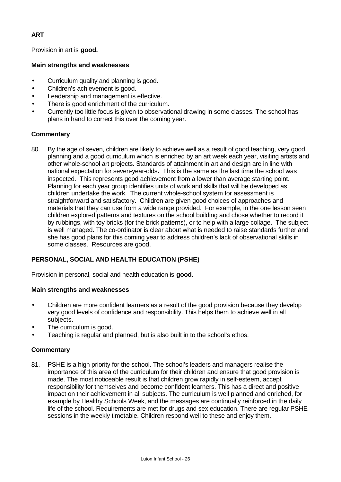# **ART**

Provision in art is **good.**

# **Main strengths and weaknesses**

- Curriculum quality and planning is good.
- Children's achievement is good.
- Leadership and management is effective.
- There is good enrichment of the curriculum.
- Currently too little focus is given to observational drawing in some classes. The school has plans in hand to correct this over the coming year.

# **Commentary**

80. By the age of seven, children are likely to achieve well as a result of good teaching, very good planning and a good curriculum which is enriched by an art week each year, visiting artists and other whole-school art projects. Standards of attainment in art and design are in line with national expectation for seven-year-olds**.** This is the same as the last time the school was inspected. This represents good achievement from a lower than average starting point. Planning for each year group identifies units of work and skills that will be developed as children undertake the work. The current whole-school system for assessment is straightforward and satisfactory. Children are given good choices of approaches and materials that they can use from a wide range provided. For example, in the one lesson seen children explored patterns and textures on the school building and chose whether to record it by rubbings, with toy bricks (for the brick patterns), or to help with a large collage. The subject is well managed. The co-ordinator is clear about what is needed to raise standards further and she has good plans for this coming year to address children's lack of observational skills in some classes. Resources are good.

# **PERSONAL, SOCIAL AND HEALTH EDUCATION (PSHE)**

Provision in personal, social and health education is **good.**

# **Main strengths and weaknesses**

- Children are more confident learners as a result of the good provision because they develop very good levels of confidence and responsibility. This helps them to achieve well in all subjects.
- The curriculum is good.
- Teaching is regular and planned, but is also built in to the school's ethos.

# **Commentary**

81. PSHE is a high priority for the school. The school's leaders and managers realise the importance of this area of the curriculum for their children and ensure that good provision is made. The most noticeable result is that children grow rapidly in self-esteem, accept responsibility for themselves and become confident learners. This has a direct and positive impact on their achievement in all subjects. The curriculum is well planned and enriched, for example by Healthy Schools Week, and the messages are continually reinforced in the daily life of the school. Requirements are met for drugs and sex education. There are regular PSHE sessions in the weekly timetable. Children respond well to these and enjoy them.